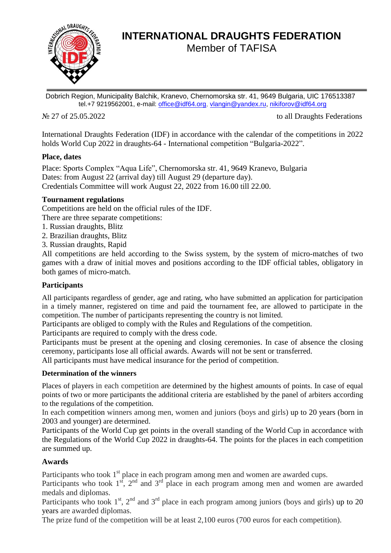

# **INTERNATIONAL DRAUGHTS FEDERATION** Member of TAFISA

Dobrich Region, Municipality Balchik, Kranevo, Chernomorska str. 41, 9649 Bulgaria, UIC 176513387 tel.+7 9219562001, e-mail: [office@idf64.org,](mailto:office@idf64.org) [vlangin@yandex.ru,](mailto:vlangin@yandex.ru) [nikiforov@idf64.org](mailto:nikiforov@idf64.org)

No 27 of 25.05.2022 to all Draughts Federations

International Draughts Federation (IDF) in accordance with the calendar of the competitions in 2022 holds World Cup 2022 in draughts-64 - International competition "Bulgaria-2022".

# **Place, dates**

Place: Sports Complex "Aqua Life", Chernomorska str. 41, 9649 Kranevo, Bulgaria Dates: from August 22 (arrival day) till August 29 (departure day). Credentials Committee will work August 22, 2022 from 16.00 till 22.00.

# **Tournament regulations**

Competitions are held on the official rules of the IDF.

There are three separate competitions:

- 1. Russian draughts, Blitz
- 2. Brazilian draughts, Blitz
- 3. Russian draughts, Rapid

All competitions are held according to the Swiss system, by the system of micro-matches of two games with a draw of initial moves and positions according to the IDF official tables, obligatory in both games of micro-match.

# **Participants**

All participants regardless of gender, age and rating, who have submitted an application for participation in a timely manner, registered on time and paid the tournament fee, are allowed to participate in the competition. The number of participants representing the country is not limited.

Participants are obliged to comply with the Rules and Regulations of the competition.

Participants are required to comply with the dress code.

Participants must be present at the opening and closing ceremonies. In case of absence the closing ceremony, participants lose all official awards. Awards will not be sent or transferred.

All participants must have medical insurance for the period of competition.

# **Determination of the winners**

Places of players in each competition are determined by the highest amounts of points. In case of equal points of two or more participants the additional criteria are established by the panel of arbiters according to the regulations of the competition.

In each competition winners among men, women and juniors (boys and girls) up to 20 years (born in 2003 and younger) are determined.

Participants of the World Cup get points in the overall standing of the World Cup in accordance with the Regulations of the World Cup 2022 in draughts-64. The points for the places in each competition are summed up.

# **Awards**

Participants who took  $1<sup>st</sup>$  place in each program among men and women are awarded cups.

Participants who took  $1^{st}$ ,  $2^{nd}$  and  $3^{rd}$  place in each program among men and women are awarded medals and diplomas.

Participants who took  $1<sup>st</sup>$ ,  $2<sup>nd</sup>$  and  $3<sup>rd</sup>$  place in each program among juniors (boys and girls) up to 20 years are awarded diplomas.

The prize fund of the competition will be at least 2,100 euros (700 euros for each competition).